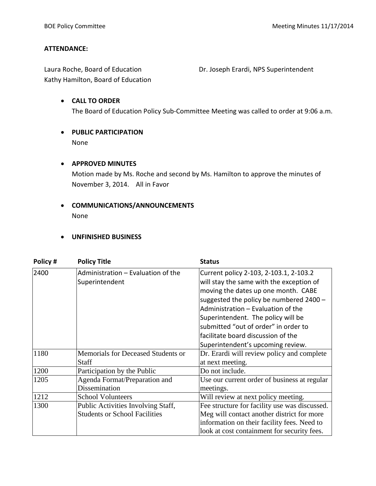#### **ATTENDANCE:**

Laura Roche, Board of Education **Dr. Joseph Erardi, NPS Superintendent** Kathy Hamilton, Board of Education

- **CALL TO ORDER** The Board of Education Policy Sub-Committee Meeting was called to order at 9:06 a.m.
- **PUBLIC PARTICIPATION** None

#### • **APPROVED MINUTES**

Motion made by Ms. Roche and second by Ms. Hamilton to approve the minutes of November 3, 2014. All in Favor

- **COMMUNICATIONS/ANNOUNCEMENTS** None
- **UNFINISHED BUSINESS**

| Policy# | <b>Policy Title</b>                                                        | <b>Status</b>                                                                                                                                                                                                                                                                                                                                                       |
|---------|----------------------------------------------------------------------------|---------------------------------------------------------------------------------------------------------------------------------------------------------------------------------------------------------------------------------------------------------------------------------------------------------------------------------------------------------------------|
| 2400    | Administration - Evaluation of the<br>Superintendent                       | Current policy 2-103, 2-103.1, 2-103.2<br>will stay the same with the exception of<br>moving the dates up one month. CABE<br>suggested the policy be numbered 2400 -<br>Administration - Evaluation of the<br>Superintendent. The policy will be<br>submitted "out of order" in order to<br>facilitate board discussion of the<br>Superintendent's upcoming review. |
| 1180    | <b>Memorials for Deceased Students or</b><br><b>Staff</b>                  | Dr. Erardi will review policy and complete<br>at next meeting.                                                                                                                                                                                                                                                                                                      |
| 1200    | Participation by the Public                                                | Do not include.                                                                                                                                                                                                                                                                                                                                                     |
| 1205    | Agenda Format/Preparation and<br>Dissemination                             | Use our current order of business at regular<br>meetings.                                                                                                                                                                                                                                                                                                           |
| 1212    | <b>School Volunteers</b>                                                   | Will review at next policy meeting.                                                                                                                                                                                                                                                                                                                                 |
| 1300    | Public Activities Involving Staff,<br><b>Students or School Facilities</b> | Fee structure for facility use was discussed.<br>Meg will contact another district for more<br>information on their facility fees. Need to<br>look at cost containment for security fees.                                                                                                                                                                           |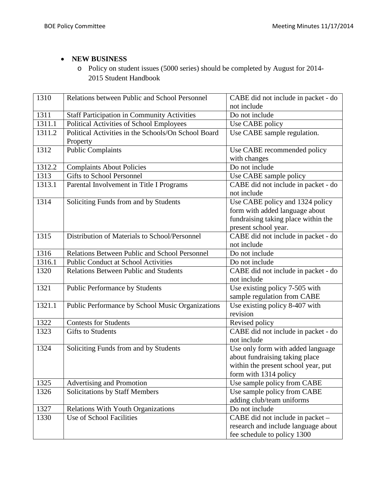# • **NEW BUSINESS**

o Policy on student issues (5000 series) should be completed by August for 2014- 2015 Student Handbook

| 1310   | Relations between Public and School Personnel       | CABE did not include in packet - do |  |
|--------|-----------------------------------------------------|-------------------------------------|--|
|        |                                                     | not include                         |  |
| 1311   | <b>Staff Participation in Community Activities</b>  | Do not include                      |  |
| 1311.1 | Political Activities of School Employees            | Use CABE policy                     |  |
| 1311.2 | Political Activities in the Schools/On School Board | Use CABE sample regulation.         |  |
|        | Property                                            |                                     |  |
| 1312   | <b>Public Complaints</b>                            | Use CABE recommended policy         |  |
|        |                                                     | with changes                        |  |
| 1312.2 | <b>Complaints About Policies</b>                    | Do not include                      |  |
| 1313   | <b>Gifts to School Personnel</b>                    | Use CABE sample policy              |  |
| 1313.1 | Parental Involvement in Title I Programs            | CABE did not include in packet - do |  |
|        |                                                     | not include                         |  |
| 1314   | Soliciting Funds from and by Students               | Use CABE policy and 1324 policy     |  |
|        |                                                     | form with added language about      |  |
|        |                                                     | fundraising taking place within the |  |
|        |                                                     | present school year.                |  |
| 1315   | Distribution of Materials to School/Personnel       | CABE did not include in packet - do |  |
|        |                                                     | not include                         |  |
| 1316   | Relations Between Public and School Personnel       | Do not include                      |  |
| 1316.1 | <b>Public Conduct at School Activities</b>          | Do not include                      |  |
| 1320   | <b>Relations Between Public and Students</b>        | CABE did not include in packet - do |  |
|        |                                                     | not include                         |  |
| 1321   | Public Performance by Students                      | Use existing policy 7-505 with      |  |
|        |                                                     | sample regulation from CABE         |  |
| 1321.1 | Public Performance by School Music Organizations    | Use existing policy 8-407 with      |  |
|        |                                                     | revision                            |  |
| 1322   | <b>Contests for Students</b>                        | Revised policy                      |  |
| 1323   | <b>Gifts to Students</b>                            | CABE did not include in packet - do |  |
|        |                                                     | not include                         |  |
| 1324   | Soliciting Funds from and by Students               | Use only form with added language   |  |
|        |                                                     | about fundraising taking place      |  |
|        |                                                     | within the present school year, put |  |
|        |                                                     | form with 1314 policy               |  |
| 1325   | Advertising and Promotion                           | Use sample policy from CABE         |  |
| 1326   | <b>Solicitations by Staff Members</b>               | Use sample policy from CABE         |  |
|        |                                                     | adding club/team uniforms           |  |
| 1327   | <b>Relations With Youth Organizations</b>           | Do not include                      |  |
| 1330   | <b>Use of School Facilities</b>                     | CABE did not include in packet -    |  |
|        |                                                     | research and include language about |  |
|        |                                                     | fee schedule to policy 1300         |  |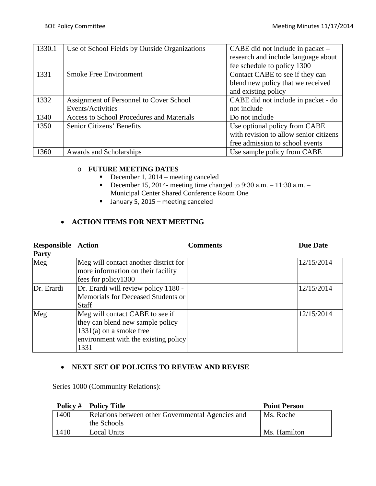| 1330.1 | Use of School Fields by Outside Organizations    | CABE did not include in packet –       |  |
|--------|--------------------------------------------------|----------------------------------------|--|
|        |                                                  | research and include language about    |  |
|        |                                                  | fee schedule to policy 1300            |  |
| 1331   | <b>Smoke Free Environment</b>                    | Contact CABE to see if they can        |  |
|        |                                                  | blend new policy that we received      |  |
|        |                                                  | and existing policy                    |  |
| 1332   | Assignment of Personnel to Cover School          | CABE did not include in packet - do    |  |
|        | Events/Activities                                | not include                            |  |
| 1340   | <b>Access to School Procedures and Materials</b> | Do not include                         |  |
| 1350   | Senior Citizens' Benefits                        | Use optional policy from CABE          |  |
|        |                                                  | with revision to allow senior citizens |  |
|        |                                                  | free admission to school events        |  |
| 1360   | Awards and Scholarships                          | Use sample policy from CABE            |  |

#### o **FUTURE MEETING DATES**

- December 1,  $2014$  meeting canceled
- December 15, 2014- meeting time changed to  $9:30$  a.m. 11:30 a.m. Municipal Center Shared Conference Room One
- **January 5, 2015 meeting canceled**

## • **ACTION ITEMS FOR NEXT MEETING**

| <b>Responsible Action</b><br><b>Party</b> |                                                                                                                                                  | <b>Comments</b> | <b>Due Date</b> |
|-------------------------------------------|--------------------------------------------------------------------------------------------------------------------------------------------------|-----------------|-----------------|
| Meg                                       | Meg will contact another district for<br>more information on their facility<br>fees for policy1300                                               |                 | 12/15/2014      |
| Dr. Erardi                                | Dr. Erardi will review policy 1180 -<br>Memorials for Deceased Students or<br>Staff                                                              |                 | 12/15/2014      |
| Meg                                       | Meg will contact CABE to see if<br>they can blend new sample policy<br>$1331(a)$ on a smoke free<br>environment with the existing policy<br>1331 |                 | 12/15/2014      |

### • **NEXT SET OF POLICIES TO REVIEW AND REVISE**

Series 1000 (Community Relations):

|       | <b>Policy # Policy Title</b>                      | <b>Point Person</b> |
|-------|---------------------------------------------------|---------------------|
| 1400. | Relations between other Governmental Agencies and | Ms. Roche           |
|       | the Schools                                       |                     |
| 1410  | Local Units                                       | Ms. Hamilton        |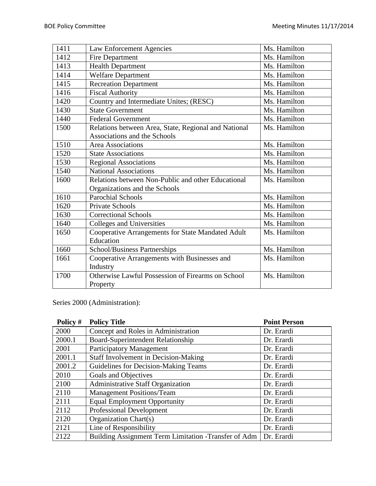| 1411 | Law Enforcement Agencies                             | Ms. Hamilton |
|------|------------------------------------------------------|--------------|
| 1412 | Fire Department                                      | Ms. Hamilton |
| 1413 | <b>Health Department</b>                             | Ms. Hamilton |
| 1414 | <b>Welfare Department</b>                            | Ms. Hamilton |
| 1415 | <b>Recreation Department</b>                         | Ms. Hamilton |
| 1416 | <b>Fiscal Authority</b>                              | Ms. Hamilton |
| 1420 | Country and Intermediate Unites; (RESC)              | Ms. Hamilton |
| 1430 | <b>State Government</b>                              | Ms. Hamilton |
| 1440 | <b>Federal Government</b>                            | Ms. Hamilton |
| 1500 | Relations between Area, State, Regional and National | Ms. Hamilton |
|      | Associations and the Schools                         |              |
| 1510 | <b>Area Associations</b>                             | Ms. Hamilton |
| 1520 | <b>State Associations</b>                            | Ms. Hamilton |
| 1530 | <b>Regional Associations</b>                         | Ms. Hamilton |
| 1540 | <b>National Associations</b>                         | Ms. Hamilton |
| 1600 | Relations between Non-Public and other Educational   | Ms. Hamilton |
|      | Organizations and the Schools                        |              |
| 1610 | <b>Parochial Schools</b>                             | Ms. Hamilton |
| 1620 | <b>Private Schools</b>                               | Ms. Hamilton |
| 1630 | <b>Correctional Schools</b>                          | Ms. Hamilton |
| 1640 | Colleges and Universities                            | Ms. Hamilton |
| 1650 | Cooperative Arrangements for State Mandated Adult    | Ms. Hamilton |
|      | Education                                            |              |
| 1660 | School/Business Partnerships                         | Ms. Hamilton |
| 1661 | Cooperative Arrangements with Businesses and         | Ms. Hamilton |
|      | Industry                                             |              |
| 1700 | Otherwise Lawful Possession of Firearms on School    | Ms. Hamilton |
|      | Property                                             |              |

Series 2000 (Administration):

| Policy # | <b>Policy Title</b>                                   | <b>Point Person</b> |
|----------|-------------------------------------------------------|---------------------|
| 2000     | Concept and Roles in Administration                   | Dr. Erardi          |
| 2000.1   | Board-Superintendent Relationship                     | Dr. Erardi          |
| 2001     | <b>Participatory Management</b>                       | Dr. Erardi          |
| 2001.1   | <b>Staff Involvement in Decision-Making</b>           | Dr. Erardi          |
| 2001.2   | Guidelines for Decision-Making Teams                  | Dr. Erardi          |
| 2010     | Goals and Objectives                                  | Dr. Erardi          |
| 2100     | <b>Administrative Staff Organization</b>              | Dr. Erardi          |
| 2110     | <b>Management Positions/Team</b>                      | Dr. Erardi          |
| 2111     | <b>Equal Employment Opportunity</b>                   | Dr. Erardi          |
| 2112     | <b>Professional Development</b>                       | Dr. Erardi          |
| 2120     | Organization Chart(s)                                 | Dr. Erardi          |
| 2121     | Line of Responsibility                                | Dr. Erardi          |
| 2122     | Building Assignment Term Limitation - Transfer of Adm | Dr. Erardi          |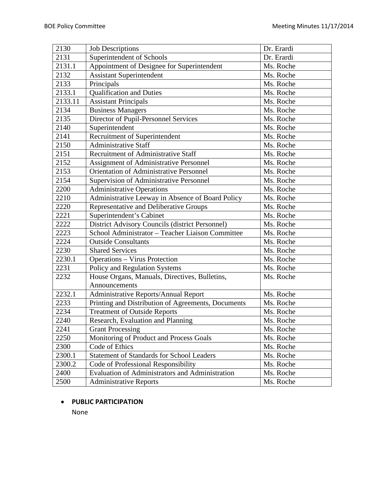| 2130    | <b>Job Descriptions</b>                            | Dr. Erardi |
|---------|----------------------------------------------------|------------|
| 2131    | Superintendent of Schools                          | Dr. Erardi |
| 2131.1  | Appointment of Designee for Superintendent         | Ms. Roche  |
| 2132    | <b>Assistant Superintendent</b>                    | Ms. Roche  |
| 2133    | Principals                                         | Ms. Roche  |
| 2133.1  | <b>Qualification and Duties</b>                    | Ms. Roche  |
| 2133.11 | <b>Assistant Principals</b>                        | Ms. Roche  |
| 2134    | <b>Business Managers</b>                           | Ms. Roche  |
| 2135    | Director of Pupil-Personnel Services               | Ms. Roche  |
| 2140    | Superintendent                                     | Ms. Roche  |
| 2141    | Recruitment of Superintendent                      | Ms. Roche  |
| 2150    | <b>Administrative Staff</b>                        | Ms. Roche  |
| 2151    | Recruitment of Administrative Staff                | Ms. Roche  |
| 2152    | Assignment of Administrative Personnel             | Ms. Roche  |
| 2153    | Orientation of Administrative Personnel            | Ms. Roche  |
| 2154    | Supervision of Administrative Personnel            | Ms. Roche  |
| 2200    | <b>Administrative Operations</b>                   | Ms. Roche  |
| 2210    | Administrative Leeway in Absence of Board Policy   | Ms. Roche  |
| 2220    | Representative and Deliberative Groups             | Ms. Roche  |
| 2221    | Superintendent's Cabinet                           | Ms. Roche  |
| 2222    | District Advisory Councils (district Personnel)    | Ms. Roche  |
| 2223    | School Administrator - Teacher Liaison Committee   | Ms. Roche  |
| 2224    | <b>Outside Consultants</b>                         | Ms. Roche  |
| 2230    | <b>Shared Services</b>                             | Ms. Roche  |
| 2230.1  | <b>Operations - Virus Protection</b>               | Ms. Roche  |
| 2231    | Policy and Regulation Systems                      | Ms. Roche  |
| 2232    | House Organs, Manuals, Directives, Bulletins,      | Ms. Roche  |
|         | Announcements                                      |            |
| 2232.1  | Administrative Reports/Annual Report               | Ms. Roche  |
| 2233    | Printing and Distribution of Agreements, Documents | Ms. Roche  |
| 2234    | <b>Treatment of Outside Reports</b>                | Ms. Roche  |
| 2240    | Research, Evaluation and Planning                  | Ms. Roche  |
| 2241    | <b>Grant Processing</b>                            | Ms. Roche  |
| 2250    | Monitoring of Product and Process Goals            | Ms. Roche  |
| 2300    | Code of Ethics                                     | Ms. Roche  |
| 2300.1  | Statement of Standards for School Leaders          | Ms. Roche  |
| 2300.2  | Code of Professional Responsibility                | Ms. Roche  |
| 2400    | Evaluation of Administrators and Administration    | Ms. Roche  |
| 2500    | <b>Administrative Reports</b>                      | Ms. Roche  |

### • **PUBLIC PARTICIPATION**

None